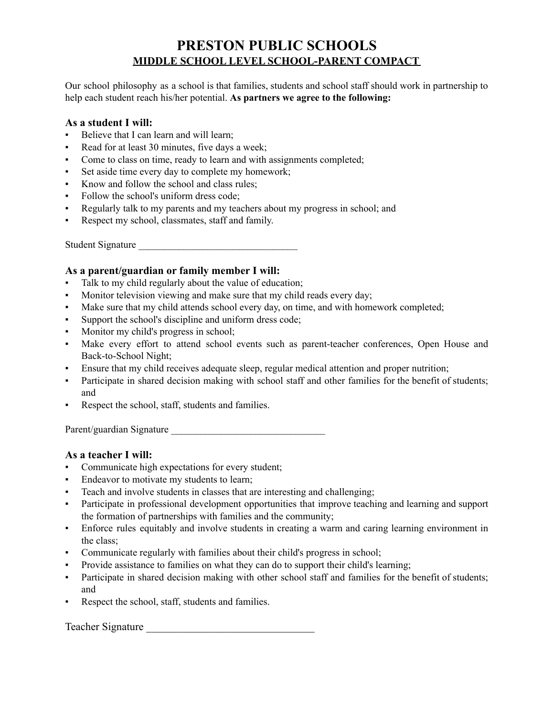## **PRESTON PUBLIC SCHOOLS MIDDLE SCHOOL LEVEL SCHOOL-PARENT COMPACT**

Our school philosophy as a school is that families, students and school staff should work in partnership to help each student reach his/her potential. **As partners we agree to the following:**

## **As a student I will:**

- Believe that I can learn and will learn;
- Read for at least 30 minutes, five days a week;
- Come to class on time, ready to learn and with assignments completed;
- Set aside time every day to complete my homework;
- Know and follow the school and class rules;
- Follow the school's uniform dress code:
- Regularly talk to my parents and my teachers about my progress in school; and
- Respect my school, classmates, staff and family.

Student Signature

## **As a parent/guardian or family member I will:**

- Talk to my child regularly about the value of education;
- Monitor television viewing and make sure that my child reads every day;
- Make sure that my child attends school every day, on time, and with homework completed;
- Support the school's discipline and uniform dress code;
- Monitor my child's progress in school;
- Make every effort to attend school events such as parent-teacher conferences, Open House and Back-to-School Night;
- Ensure that my child receives adequate sleep, regular medical attention and proper nutrition;
- Participate in shared decision making with school staff and other families for the benefit of students; and
- Respect the school, staff, students and families.

Parent/guardian Signature \_\_\_\_\_\_\_\_\_\_\_\_\_\_\_\_\_\_\_\_\_\_\_\_\_\_\_\_\_\_\_

## **As a teacher I will:**

- Communicate high expectations for every student;
- **Endeavor to motivate my students to learn;**
- Teach and involve students in classes that are interesting and challenging;
- Participate in professional development opportunities that improve teaching and learning and support the formation of partnerships with families and the community;
- Enforce rules equitably and involve students in creating a warm and caring learning environment in the class;
- Communicate regularly with families about their child's progress in school;
- Provide assistance to families on what they can do to support their child's learning;
- Participate in shared decision making with other school staff and families for the benefit of students; and
- Respect the school, staff, students and families.

Teacher Signature